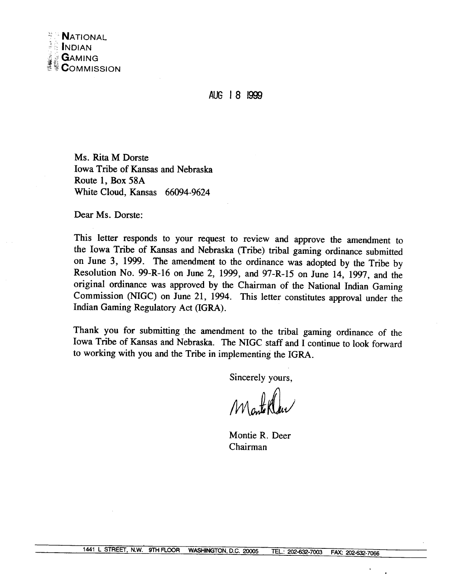AUG 18 1999

Ms. Rita M Dorste Iowa Tribe of Kansas and Nebraska Route 1, Box 58A White Cloud, Kansas 66094-9624

Dear Ms. Dorste:

This letter responds to your request to review and approve the amendment to the Iowa Tribe of Kansas and Nebraska (Tribe) tribal gaming ordinance submitted on June 3, 1999. The amendment to the ordinance was adopted by the Tribe by Resolution No. 99-R-16 on June 2, 1999, and 97-R-15 on June 14, 1997, and the original ordinance was approved by the Chairman of the National Indian Gaming Commission **(NIGC)** on June 21, 1994. This letter constitutes approval under the Indian Gaming Regulatory Act (IGRA).

Thank you for submitting the amendment to the tribal gaming ordinance of the Iowa Tribe of Kansas and Nebraska. The NIGC staff and I continue to look forward to working with you and the Tribe in implementing the IGRA.

Sincerely yours,

Montelle

Montie R. Deer Chairman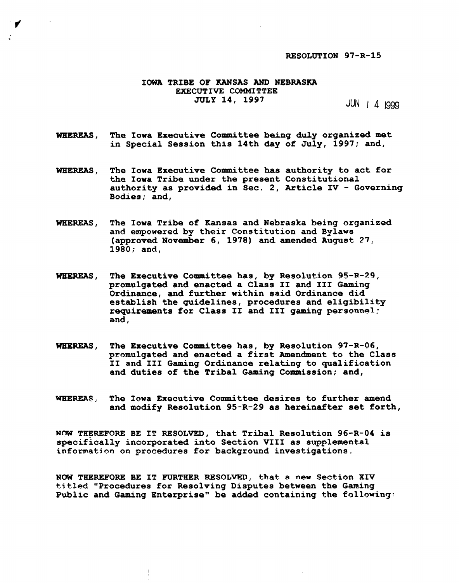#### **RESOLUTION 97-R-15**

#### **IOWA TRIBE OF KANSAS AND NEBRASKA EXECUTIVE COMMITTEE JULY 14, 1997**

 $JUN$  | 4 1999

**WHEREAS, The Iowa Executive Committee being duly organized mat in Special Session this 14th day of July, 1997; and,** 

**WHEREAS, The Iowa Executive Committee has authority to act for the Iowa Tribe under the present Constitutional authority as provided in Sec. 2, Article IV** - **Govarning Bodies; and,** 

- **WHEREAS, The Iowa Tribe of Kansas and Nebraska being organized and empowered by their Constitution and Bylaws (approved November 6, 1978) and amended August 27** ; **1980; and,**
- **WHEREAS, The Executive Committee has, by Resolution 95-F.-29,. promulgated and enacted a Class I1 and I11 Gaming Ordinance, and further within said Ordinance did establish the guidelines, procedures and eligibility requirements for Class 11 and 111 gaming personnel; and,**
- **WHEREAS, The Executive Committee has, by Resolution 97-R-06, promulgated and enacted a first Amendment to the Class I1 and I11 Gaming Ordinance relating to qualification and duties of the Tribal Gaming Conmission; and,**
- **WEEREAS, The Iowa Executive Committee desires to further amend and modify Resolution 95-R-29 as hereinafter set forth,**

**NOW TEEREFORE BE IT RESOLVED, that Tribal Resolution 96-R-04 is**   $s$ pecifically incorporated into Section VIII as supplemental **information on procedures for background investigations,** 

**NOW THEREFORE BE IT EWRTHER RESOLWIT; that. a new Section XIV tjt.led "Procedures for Resolving Disputes between the Gaming**  Public and Gaming Enterprise" be added containing the following: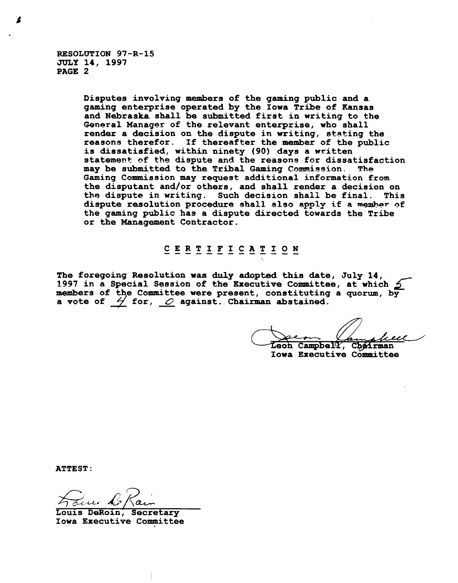**RESOLUTION 97-R-15 JULY 14, 1997 PAGE 2** 

> **Disputes involving members of the gaming public and a gaming enterprise operated by the Iowa Tribe of Kansas and Nebraska. shall be submitted first in writing to the General Manager of the relevant enterprise, who shall render a decision on the dispute in writing, stating the reasons therefor. If thereafter the member of the public is dissatisfied, within ninety (90) days a written statemen+. of t.he dispute and the reasona far dissatisfaction may be submitted to the Tribal Gaming Cammission. The Gaming Commission may request additional information from the disputant and/or others, and shall render a decision on the dispute in writing. Such decision shall be final. This dispute resolution procedure shall also apply if a member of the gaming public has a dispute directed towards the Tribe or the Management Contractor.**

# $\underline{C} \xrightarrow{E} \underline{R} \xrightarrow{T} \underline{I} \xrightarrow{F} \underline{I} \xrightarrow{C} \underline{A} \xrightarrow{T} \underline{I} \xrightarrow{O} \underline{N}$

**The foregoing Resolution uaa duly adapted** this **date, July 14, 1997 in a Special Session of the Ekecutive Committee, at which**  members of the Committee were present, constituting a quorum, by<br>a vote of  $\frac{1}{2}$  for,  $\frac{1}{2}$  against. Chairman abstained. The foregoing Resolution was duly adopted this date,<br>1997 in a Special Session of the Executive Committee<br>members of the Committee were present, constituting<br>a vote of  $\frac{1}{\sqrt{2}}$  for, <u>0</u> against. Chairman abstained.

Leon Campbell, Chairman **Iowa Executive Committee** 

**ATTEST** :

**Louis DeRoin,**  42- **Secretary**   $z_{\tau}$ 

**Iowa Executive Committee**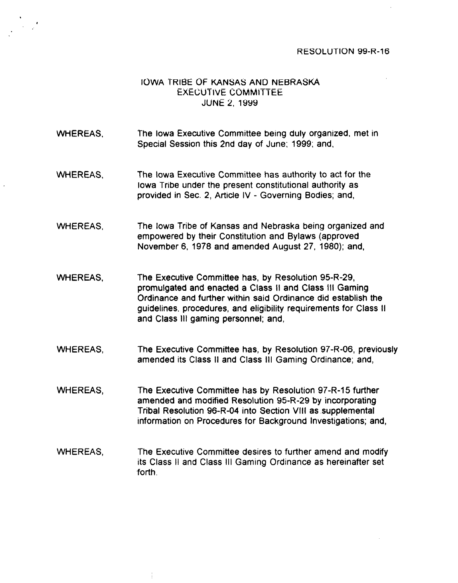#### **RESOLUTION 99-R-16**

## **IOWA TRIBE OF KANSAS AND NEBRASKA EXECUTIVE COMMITTEE JUNE 2. 1939**

- WHEREAS, The lowa Executive Committee being duly organized, met in Special Session this 2nd day of June; 1999; and.
- **WHEREAS.**  The lowa Executive Committee has authority to act for the lowa Tribe under the present constitutional authority as provided in Sec. 2, Article IV - Governing Bodies; and,
- WHEREAS. The lowa Tribe of Kansas and Nebraska being organized and empowered by their Constitution and Bylaws (approved November 6, 1978 and amended August 27, 1980); and,
- WHEREAS, The Executive Committee has, by Resolution 95-R-29, promulgated and enacted a Class II and Class Ill Gaming Ordinance and further within said Ordinance did establish the guidelines. procedures, and eligibility requirements for Class II and Class Ill gaming personnel; and,
- WHEREAS, The Executive Committee has, by Resolution 97-R-06, previously amended its Class II and Class Ill Gaming Ordinance; and,
- WHEREAS, The Executive Committee has by Resolution 97-R-15 further amended and modified Resolution 95-R-29 by incorporating Tribal Resolution 96-R-04 into Section Vlll as .supplemental information on Procedures for Background Investigations; and,
- WHEREAS, The Executive Committee desires to further amend and modify its Class II and Class Ill Gaming Ordinance as hereinafter set .forth.